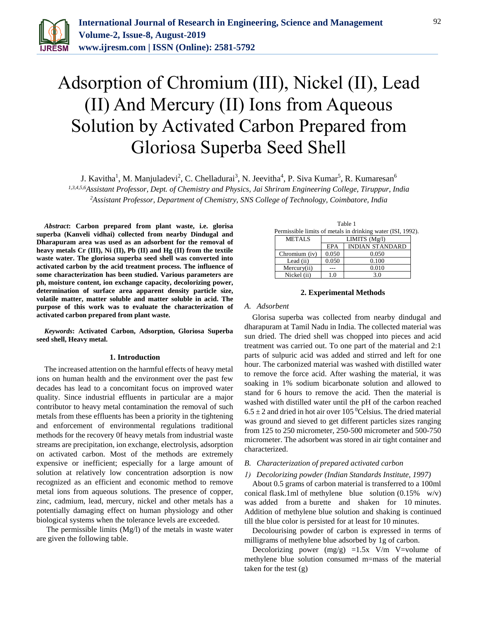

# Adsorption of Chromium (III), Nickel (II), Lead (II) And Mercury (II) Ions from Aqueous Solution by Activated Carbon Prepared from Gloriosa Superba Seed Shell

J. Kavitha<sup>1</sup>, M. Manjuladevi<sup>2</sup>, C. Chelladurai<sup>3</sup>, N. Jeevitha<sup>4</sup>, P. Siva Kumar<sup>5</sup>, R. Kumaresan<sup>6</sup>

*1,3,4,5,6Assistant Professor, Dept. of Chemistry and Physics, Jai Shriram Engineering College, Tiruppur, India <sup>2</sup>Assistant Professor, Department of Chemistry, SNS College of Technology, Coimbatore, India*

*Abstract***: Carbon prepared from plant waste, i.e. glorisa superba (Kanveli vidhai) collected from nearby Dindugal and Dharapuram area was used as an adsorbent for the removal of heavy metals Cr (III), Ni (II), Pb (II) and Hg (II) from the textile waste water. The gloriosa superba seed shell was converted into activated carbon by the acid treatment process. The influence of some characterization has been studied. Various parameters are ph, moisture content, ion exchange capacity, decolorizing power, determination of surface area apparent density particle size, volatile matter, matter soluble and matter soluble in acid. The purpose of this work was to evaluate the characterization of activated carbon prepared from plant waste.**

*Keywords***: Activated Carbon, Adsorption, Gloriosa Superba seed shell, Heavy metal.**

#### **1. Introduction**

The increased attention on the harmful effects of heavy metal ions on human health and the environment over the past few decades has lead to a concomitant focus on improved water quality. Since industrial effluents in particular are a major contributor to heavy metal contamination the removal of such metals from these effluents has been a priority in the tightening and enforcement of environmental regulations traditional methods for the recovery 0f heavy metals from industrial waste streams are precipitation, ion exchange, electrolysis, adsorption on activated carbon. Most of the methods are extremely expensive or inefficient; especially for a large amount of solution at relatively low concentration adsorption is now recognized as an efficient and economic method to remove metal ions from aqueous solutions. The presence of copper, zinc, cadmium, lead, mercury, nickel and other metals has a potentially damaging effect on human physiology and other biological systems when the tolerance levels are exceeded.

The permissible limits (Mg/l) of the metals in waste water are given the following table.

| тавне т |                                                             |                 |                        |  |  |  |  |
|---------|-------------------------------------------------------------|-----------------|------------------------|--|--|--|--|
|         | Permissible limits of metals in drinking water (ISI, 1992). |                 |                        |  |  |  |  |
|         | <b>METALS</b>                                               | LIMITS $(Mg/l)$ |                        |  |  |  |  |
|         |                                                             | <b>EPA</b>      | <b>INDIAN STANDARD</b> |  |  |  |  |
|         | Chromium (iv)                                               | 0.050           | 0.050                  |  |  |  |  |
|         | Lead (ii)                                                   | 0.050           | 0.100                  |  |  |  |  |
|         | Mercurv(ii)                                                 |                 | 0.010                  |  |  |  |  |
|         | Nickel (ii)                                                 |                 | 3.0                    |  |  |  |  |

 $T<sub>1</sub>$  1 1

### **2. Experimental Methods**

#### *A. Adsorbent*

Glorisa superba was collected from nearby dindugal and dharapuram at Tamil Nadu in India. The collected material was sun dried. The dried shell was chopped into pieces and acid treatment was carried out. To one part of the material and 2:1 parts of sulpuric acid was added and stirred and left for one hour. The carbonized material was washed with distilled water to remove the force acid. After washing the material, it was soaking in 1% sodium bicarbonate solution and allowed to stand for 6 hours to remove the acid. Then the material is washed with distilled water until the pH of the carbon reached  $6.5 \pm 2$  and dried in hot air over 105 <sup>0</sup>Celsius. The dried material was ground and sieved to get different particles sizes ranging from 125 to 250 micrometer, 250-500 micrometer and 500-750 micrometer. The adsorbent was stored in air tight container and characterized.

# *B. Characterization of prepared activated carbon*

## *1) Decolorizing powder (Indian Standards Institute, 1997)*

About 0.5 grams of carbon material is transferred to a 100ml conical flask.1ml of methylene blue solution (0.15% w/v) was added from a burette and shaken for 10 minutes. Addition of methylene blue solution and shaking is continued till the blue color is persisted for at least for 10 minutes.

Decolourising powder of carbon is expressed in terms of milligrams of methylene blue adsorbed by 1g of carbon.

Decolorizing power (mg/g) =1.5x V/m V=volume of methylene blue solution consumed m=mass of the material taken for the test (g)